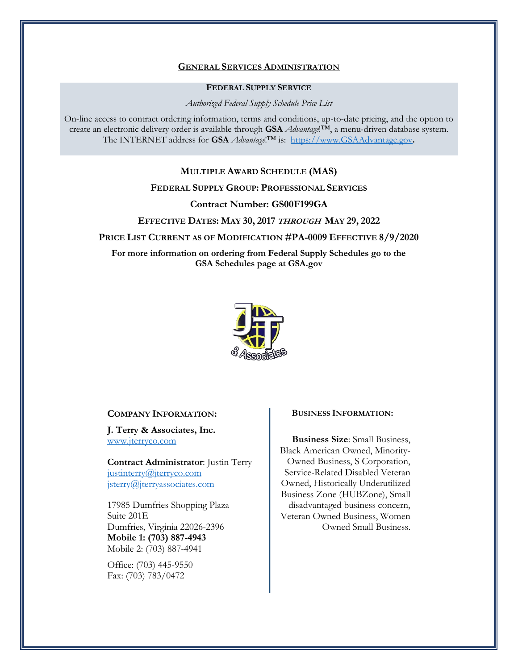### **GENERAL SERVICES ADMINISTRATION**

### **FEDERAL SUPPLY SERVICE**

*Authorized Federal Supply Schedule Price List*

On-line access to contract ordering information, terms and conditions, up-to-date pricing, and the option to create an electronic delivery order is available through **GSA** *Advantage*!™, a menu-driven database system. The INTERNET address for **GSA** *Advantage*!™ is: [https://www.GSAAdvantage.gov](https://www.gsaadvantage.gov/)**.** 

## **MULTIPLE AWARD SCHEDULE (MAS)**

## **FEDERAL SUPPLY GROUP: PROFESSIONAL SERVICES**

## **Contract Number: GS00F199GA**

#### **EFFECTIVE DATES: MAY 30, 2017 THROUGH MAY 29, 2022**

**PRICE LIST CURRENT AS OF MODIFICATION #PA-0009 EFFECTIVE 8/9/2020**

**For more information on ordering from Federal Supply Schedules go to the GSA Schedules page at GSA.gov**



### **COMPANY INFORMATION:**

**J. Terry & Associates, Inc.** [www.jterryco.com](http://www.jterryco.com/)

**Contract Administrator**: Justin Terry [justinterry@jterryco.com](mailto:justinterry@jterryco.com) [jsterry@jterryassociates.com](mailto:jsterry@jterryassociates.com)

17985 Dumfries Shopping Plaza Suite 201E Dumfries, Virginia 22026-2396 **Mobile 1: (703) 887-4943** Mobile 2: (703) 887-4941

Office: (703) 445-9550 Fax: (703) 783/0472

#### **BUSINESS INFORMATION:**

**Business Size**: Small Business, Black American Owned, Minority-Owned Business, S Corporation, Service-Related Disabled Veteran Owned, Historically Underutilized Business Zone (HUBZone), Small disadvantaged business concern, Veteran Owned Business, Women Owned Small Business.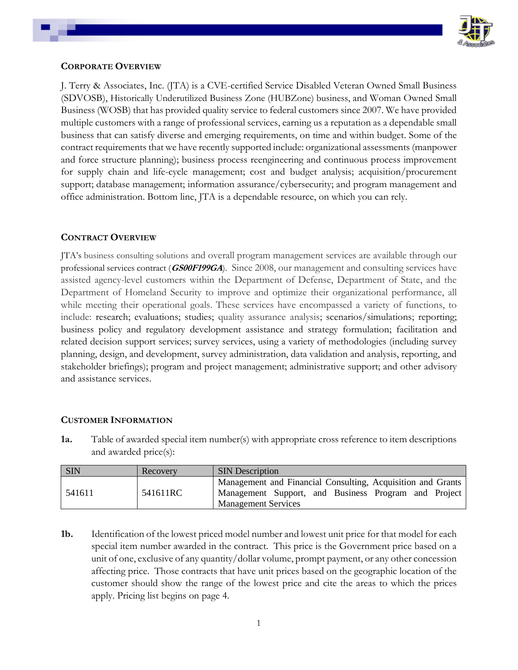

## **CORPORATE OVERVIEW**

J. Terry & Associates, Inc. (JTA) is a CVE-certified Service Disabled Veteran Owned Small Business (SDVOSB), Historically Underutilized Business Zone (HUBZone) business, and Woman Owned Small Business (WOSB) that has provided quality service to federal customers since 2007. We have provided multiple customers with a range of professional services, earning us a reputation as a dependable small business that can satisfy diverse and emerging requirements, on time and within budget. Some of the contract requirements that we have recently supported include: organizational assessments (manpower and force structure planning); business process reengineering and continuous process improvement for supply chain and life-cycle management; cost and budget analysis; acquisition/procurement support; database management; information assurance/cybersecurity; and program management and office administration. Bottom line, JTA is a dependable resource, on which you can rely.

# **CONTRACT OVERVIEW**

JTA's business consulting solutions and overall program management services are available through our professional services contract (**GS00F199GA**). Since 2008, our management and consulting services have assisted agency-level customers within the Department of Defense, Department of State, and the Department of Homeland Security to improve and optimize their organizational performance, all while meeting their operational goals. These services have encompassed a variety of functions, to include: research; evaluations; studies; quality assurance analysis; scenarios/simulations; reporting; business policy and regulatory development assistance and strategy formulation; facilitation and related decision support services; survey services, using a variety of methodologies (including survey planning, design, and development, survey administration, data validation and analysis, reporting, and stakeholder briefings); program and project management; administrative support; and other advisory and assistance services.

# **CUSTOMER INFORMATION**

**1a.** Table of awarded special item number(s) with appropriate cross reference to item descriptions and awarded price(s):

| SIN    | Recovery | <b>SIN</b> Description                                                                                                                            |
|--------|----------|---------------------------------------------------------------------------------------------------------------------------------------------------|
| 541611 | 541611RC | Management and Financial Consulting, Acquisition and Grants<br>Management Support, and Business Program and Project<br><b>Management Services</b> |

**1b.** Identification of the lowest priced model number and lowest unit price for that model for each special item number awarded in the contract. This price is the Government price based on a unit of one, exclusive of any quantity/dollar volume, prompt payment, or any other concession affecting price. Those contracts that have unit prices based on the geographic location of the customer should show the range of the lowest price and cite the areas to which the prices apply. Pricing list begins on page 4.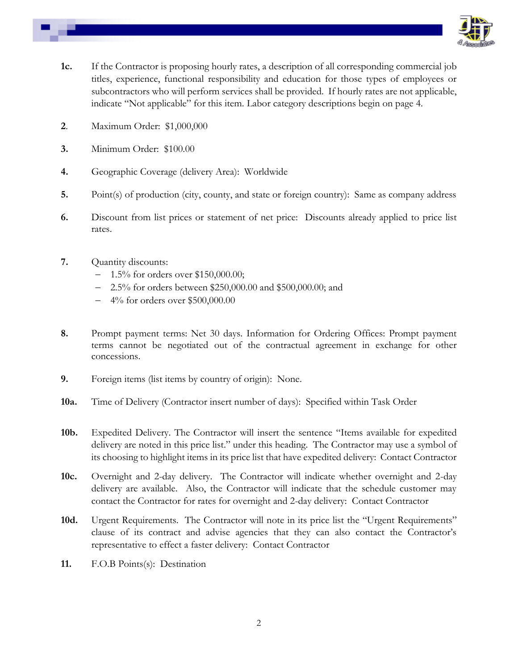

- **1c.** If the Contractor is proposing hourly rates, a description of all corresponding commercial job titles, experience, functional responsibility and education for those types of employees or subcontractors who will perform services shall be provided. If hourly rates are not applicable, indicate "Not applicable" for this item. Labor category descriptions begin on page 4.
- **2**. Maximum Order: \$1,000,000
- **3.** Minimum Order: \$100.00
- **4.** Geographic Coverage (delivery Area): Worldwide
- **5.** Point(s) of production (city, county, and state or foreign country): Same as company address
- **6.** Discount from list prices or statement of net price: Discounts already applied to price list rates.
- **7.** Quantity discounts:
	- − 1.5% for orders over \$150,000.00;
	- 2.5% for orders between \$250,000.00 and \$500,000.00; and
	- − 4% for orders over \$500,000.00
- **8.** Prompt payment terms: Net 30 days. Information for Ordering Offices: Prompt payment terms cannot be negotiated out of the contractual agreement in exchange for other concessions.
- **9.** Foreign items (list items by country of origin): None.
- **10a.** Time of Delivery (Contractor insert number of days): Specified within Task Order
- **10b.** Expedited Delivery. The Contractor will insert the sentence "Items available for expedited delivery are noted in this price list." under this heading. The Contractor may use a symbol of its choosing to highlight items in its price list that have expedited delivery: Contact Contractor
- **10c.** Overnight and 2-day delivery. The Contractor will indicate whether overnight and 2-day delivery are available. Also, the Contractor will indicate that the schedule customer may contact the Contractor for rates for overnight and 2-day delivery: Contact Contractor
- 10d. Urgent Requirements. The Contractor will note in its price list the "Urgent Requirements" clause of its contract and advise agencies that they can also contact the Contractor's representative to effect a faster delivery: Contact Contractor
- **11.** F.O.B Points(s): Destination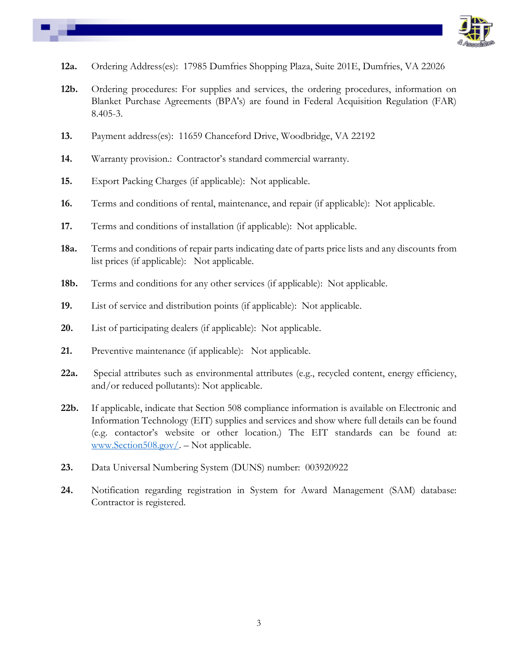

- **12a.** Ordering Address(es): 17985 Dumfries Shopping Plaza, Suite 201E, Dumfries, VA 22026
- **12b.** Ordering procedures: For supplies and services, the ordering procedures, information on Blanket Purchase Agreements (BPA's) are found in Federal Acquisition Regulation (FAR) 8.405-3.
- **13.** Payment address(es): 11659 Chanceford Drive, Woodbridge, VA 22192
- **14.** Warranty provision.: Contractor's standard commercial warranty.
- **15.** Export Packing Charges (if applicable): Not applicable.
- **16.** Terms and conditions of rental, maintenance, and repair (if applicable): Not applicable.
- **17.** Terms and conditions of installation (if applicable): Not applicable.
- **18a.** Terms and conditions of repair parts indicating date of parts price lists and any discounts from list prices (if applicable): Not applicable.
- **18b.** Terms and conditions for any other services (if applicable): Not applicable.
- **19.** List of service and distribution points (if applicable): Not applicable.
- **20.** List of participating dealers (if applicable): Not applicable.
- **21.** Preventive maintenance (if applicable): Not applicable.
- **22a.** Special attributes such as environmental attributes (e.g., recycled content, energy efficiency, and/or reduced pollutants): Not applicable.
- **22b.** If applicable, indicate that Section 508 compliance information is available on Electronic and Information Technology (EIT) supplies and services and show where full details can be found (e.g. contactor's website or other location.) The EIT standards can be found at: [www.Section508.gov/.](http://www.section508.gov/) – Not applicable.
- **23.** Data Universal Numbering System (DUNS) number: 003920922
- **24.** Notification regarding registration in System for Award Management (SAM) database: Contractor is registered.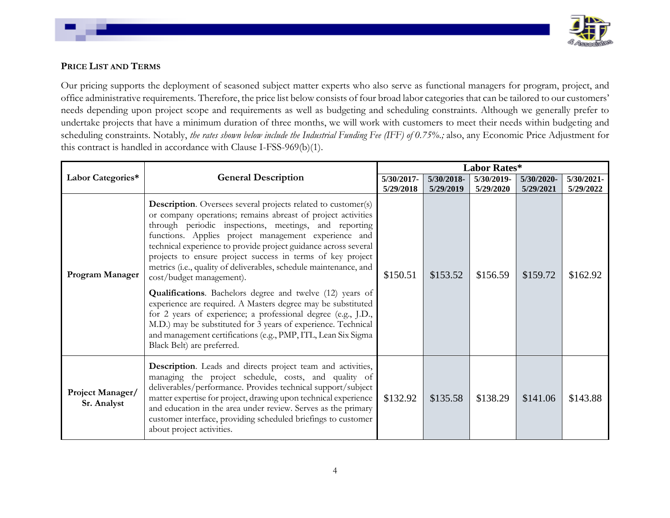

# **PRICE LIST AND TERMS**

Our pricing supports the deployment of seasoned subject matter experts who also serve as functional managers for program, project, and office administrative requirements. Therefore, the price list below consists of four broad labor categories that can be tailored to our customers' needs depending upon project scope and requirements as well as budgeting and scheduling constraints. Although we generally prefer to undertake projects that have a minimum duration of three months, we will work with customers to meet their needs within budgeting and scheduling constraints. Notably, *the rates shown below include the Industrial Funding Fee (IFF) of 0.75%.;* also, any Economic Price Adjustment for this contract is handled in accordance with Clause I-FSS-969(b)(1).

|                                 |                                                                                                                                                                                                                                                                                                                                                                                                                                                                                                                                                                                                                                                                                                                                                                                                                                                        | <b>Labor Rates*</b>     |                         |                         |                         |                         |  |
|---------------------------------|--------------------------------------------------------------------------------------------------------------------------------------------------------------------------------------------------------------------------------------------------------------------------------------------------------------------------------------------------------------------------------------------------------------------------------------------------------------------------------------------------------------------------------------------------------------------------------------------------------------------------------------------------------------------------------------------------------------------------------------------------------------------------------------------------------------------------------------------------------|-------------------------|-------------------------|-------------------------|-------------------------|-------------------------|--|
| Labor Categories*               | <b>General Description</b>                                                                                                                                                                                                                                                                                                                                                                                                                                                                                                                                                                                                                                                                                                                                                                                                                             | 5/30/2017-<br>5/29/2018 | 5/30/2018-<br>5/29/2019 | 5/30/2019-<br>5/29/2020 | 5/30/2020-<br>5/29/2021 | 5/30/2021-<br>5/29/2022 |  |
| Program Manager                 | <b>Description</b> . Oversees several projects related to customer(s)<br>or company operations; remains abreast of project activities<br>through periodic inspections, meetings, and reporting<br>functions. Applies project management experience and<br>technical experience to provide project guidance across several<br>projects to ensure project success in terms of key project<br>metrics (i.e., quality of deliverables, schedule maintenance, and<br>cost/budget management).<br>Qualifications. Bachelors degree and twelve (12) years of<br>experience are required. A Masters degree may be substituted<br>for 2 years of experience; a professional degree (e.g., J.D.,<br>M.D.) may be substituted for 3 years of experience. Technical<br>and management certifications (e.g., PMP, ITL, Lean Six Sigma<br>Black Belt) are preferred. | \$150.51                | \$153.52                | \$156.59                | \$159.72                | \$162.92                |  |
| Project Manager/<br>Sr. Analyst | Description. Leads and directs project team and activities,<br>managing the project schedule, costs, and quality of<br>deliverables/performance. Provides technical support/subject<br>matter expertise for project, drawing upon technical experience<br>and education in the area under review. Serves as the primary<br>customer interface, providing scheduled briefings to customer<br>about project activities.                                                                                                                                                                                                                                                                                                                                                                                                                                  | \$132.92                | \$135.58                | \$138.29                | \$141.06                | \$143.88                |  |